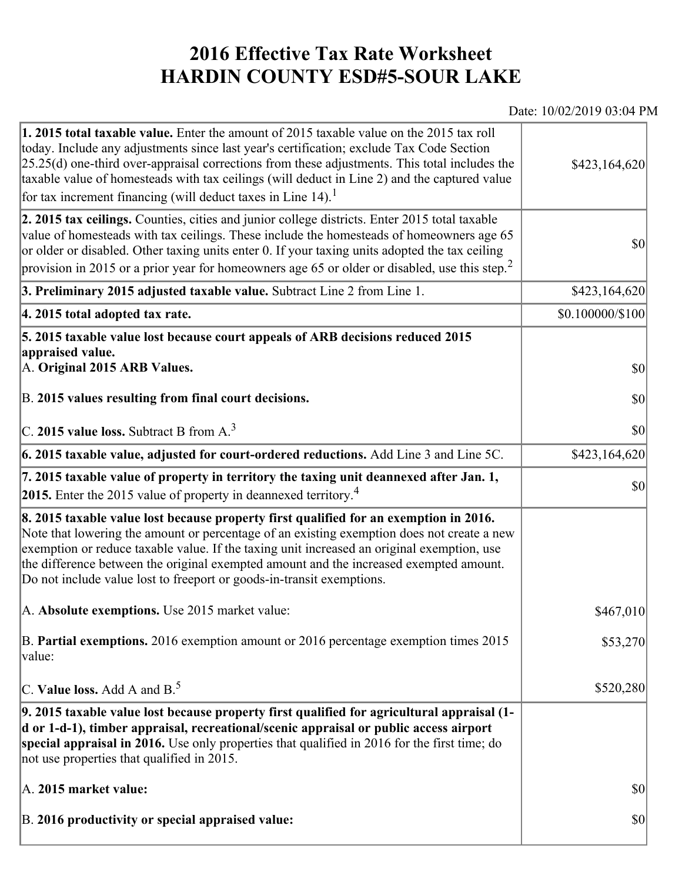## **2016 Effective Tax Rate Worksheet HARDIN COUNTY ESD#5-SOUR LAKE**

## Date: 10/02/2019 03:04 PM

| 1. 2015 total taxable value. Enter the amount of 2015 taxable value on the 2015 tax roll<br>today. Include any adjustments since last year's certification; exclude Tax Code Section<br>$[25.25(d)$ one-third over-appraisal corrections from these adjustments. This total includes the<br>taxable value of homesteads with tax ceilings (will deduct in Line 2) and the captured value<br>for tax increment financing (will deduct taxes in Line $14$ ). <sup>1</sup> | \$423,164,620                |
|-------------------------------------------------------------------------------------------------------------------------------------------------------------------------------------------------------------------------------------------------------------------------------------------------------------------------------------------------------------------------------------------------------------------------------------------------------------------------|------------------------------|
| 2. 2015 tax ceilings. Counties, cities and junior college districts. Enter 2015 total taxable<br>value of homesteads with tax ceilings. These include the homesteads of homeowners age 65<br>or older or disabled. Other taxing units enter 0. If your taxing units adopted the tax ceiling<br>provision in 2015 or a prior year for homeowners age 65 or older or disabled, use this step. <sup>2</sup>                                                                | 30                           |
| 3. Preliminary 2015 adjusted taxable value. Subtract Line 2 from Line 1.                                                                                                                                                                                                                                                                                                                                                                                                | \$423,164,620                |
| 4. 2015 total adopted tax rate.                                                                                                                                                                                                                                                                                                                                                                                                                                         | $$0.100000 \times 100$       |
| 5. 2015 taxable value lost because court appeals of ARB decisions reduced 2015<br>appraised value.<br>A. Original 2015 ARB Values.<br>B. 2015 values resulting from final court decisions.                                                                                                                                                                                                                                                                              | $ 10\rangle$<br>$ 10\rangle$ |
| C. 2015 value loss. Subtract B from A. <sup>3</sup>                                                                                                                                                                                                                                                                                                                                                                                                                     | 30                           |
| 6. 2015 taxable value, adjusted for court-ordered reductions. Add Line 3 and Line 5C.                                                                                                                                                                                                                                                                                                                                                                                   | \$423,164,620                |
| 7. 2015 taxable value of property in territory the taxing unit deannexed after Jan. 1,<br>2015. Enter the 2015 value of property in deannexed territory. <sup>4</sup>                                                                                                                                                                                                                                                                                                   | $ 10\rangle$                 |
| 8. 2015 taxable value lost because property first qualified for an exemption in 2016.<br>Note that lowering the amount or percentage of an existing exemption does not create a new<br>exemption or reduce taxable value. If the taxing unit increased an original exemption, use<br>the difference between the original exempted amount and the increased exempted amount.<br>Do not include value lost to freeport or goods-in-transit exemptions.                    |                              |
| A. Absolute exemptions. Use 2015 market value:                                                                                                                                                                                                                                                                                                                                                                                                                          | \$467,010                    |
| B. Partial exemptions. 2016 exemption amount or 2016 percentage exemption times 2015<br>$\vert$ value:                                                                                                                                                                                                                                                                                                                                                                  | \$53,270                     |
| C. Value loss. Add A and $B^5$                                                                                                                                                                                                                                                                                                                                                                                                                                          | \$520,280                    |
| 9. 2015 taxable value lost because property first qualified for agricultural appraisal (1-<br>d or 1-d-1), timber appraisal, recreational/scenic appraisal or public access airport<br>special appraisal in 2016. Use only properties that qualified in 2016 for the first time; do<br>not use properties that qualified in 2015.                                                                                                                                       |                              |
| A. 2015 market value:                                                                                                                                                                                                                                                                                                                                                                                                                                                   | \$0                          |
| B. 2016 productivity or special appraised value:                                                                                                                                                                                                                                                                                                                                                                                                                        | \$0                          |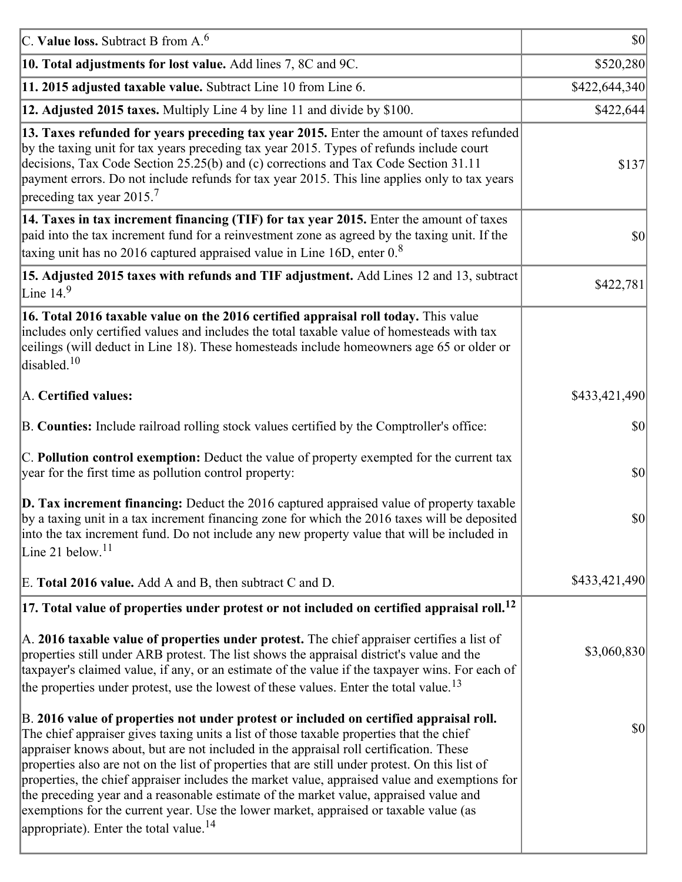| C. Value loss. Subtract B from $A6$                                                                                                                                                                                                                                                                                                                                                                                                                                                                                                                                                                                                                                                                                      | $ 10\rangle$  |
|--------------------------------------------------------------------------------------------------------------------------------------------------------------------------------------------------------------------------------------------------------------------------------------------------------------------------------------------------------------------------------------------------------------------------------------------------------------------------------------------------------------------------------------------------------------------------------------------------------------------------------------------------------------------------------------------------------------------------|---------------|
| 10. Total adjustments for lost value. Add lines 7, 8C and 9C.                                                                                                                                                                                                                                                                                                                                                                                                                                                                                                                                                                                                                                                            | \$520,280     |
| 11. 2015 adjusted taxable value. Subtract Line 10 from Line 6.                                                                                                                                                                                                                                                                                                                                                                                                                                                                                                                                                                                                                                                           | \$422,644,340 |
| 12. Adjusted 2015 taxes. Multiply Line 4 by line 11 and divide by \$100.                                                                                                                                                                                                                                                                                                                                                                                                                                                                                                                                                                                                                                                 | \$422,644     |
| 13. Taxes refunded for years preceding tax year 2015. Enter the amount of taxes refunded<br>by the taxing unit for tax years preceding tax year 2015. Types of refunds include court<br>decisions, Tax Code Section 25.25(b) and (c) corrections and Tax Code Section 31.11<br>payment errors. Do not include refunds for tax year 2015. This line applies only to tax years<br>preceding tax year 2015. <sup>7</sup>                                                                                                                                                                                                                                                                                                    | \$137         |
| 14. Taxes in tax increment financing (TIF) for tax year 2015. Enter the amount of taxes<br>paid into the tax increment fund for a reinvestment zone as agreed by the taxing unit. If the<br>taxing unit has no 2016 captured appraised value in Line 16D, enter $0.8$                                                                                                                                                                                                                                                                                                                                                                                                                                                    | 30            |
| 15. Adjusted 2015 taxes with refunds and TIF adjustment. Add Lines 12 and 13, subtract<br>Line $14.9$                                                                                                                                                                                                                                                                                                                                                                                                                                                                                                                                                                                                                    | \$422,781     |
| 16. Total 2016 taxable value on the 2016 certified appraisal roll today. This value<br>includes only certified values and includes the total taxable value of homesteads with tax<br>ceilings (will deduct in Line 18). These homesteads include homeowners age 65 or older or<br>disabled. <sup>10</sup>                                                                                                                                                                                                                                                                                                                                                                                                                |               |
| A. Certified values:                                                                                                                                                                                                                                                                                                                                                                                                                                                                                                                                                                                                                                                                                                     | \$433,421,490 |
| B. Counties: Include railroad rolling stock values certified by the Comptroller's office:                                                                                                                                                                                                                                                                                                                                                                                                                                                                                                                                                                                                                                | \$0           |
| C. Pollution control exemption: Deduct the value of property exempted for the current tax<br>year for the first time as pollution control property:                                                                                                                                                                                                                                                                                                                                                                                                                                                                                                                                                                      | $ 10\rangle$  |
| $\vert$ D. Tax increment financing: Deduct the 2016 captured appraised value of property taxable<br>by a taxing unit in a tax increment financing zone for which the 2016 taxes will be deposited<br>into the tax increment fund. Do not include any new property value that will be included in<br>Line 21 below. $11$                                                                                                                                                                                                                                                                                                                                                                                                  | \$0           |
| E. Total 2016 value. Add A and B, then subtract C and D.                                                                                                                                                                                                                                                                                                                                                                                                                                                                                                                                                                                                                                                                 | \$433,421,490 |
| $ 17$ . Total value of properties under protest or not included on certified appraisal roll. <sup>12</sup>                                                                                                                                                                                                                                                                                                                                                                                                                                                                                                                                                                                                               |               |
| A. 2016 taxable value of properties under protest. The chief appraiser certifies a list of<br>properties still under ARB protest. The list shows the appraisal district's value and the<br>taxpayer's claimed value, if any, or an estimate of the value if the taxpayer wins. For each of<br>the properties under protest, use the lowest of these values. Enter the total value. <sup>13</sup>                                                                                                                                                                                                                                                                                                                         | \$3,060,830   |
| B. 2016 value of properties not under protest or included on certified appraisal roll.<br>The chief appraiser gives taxing units a list of those taxable properties that the chief<br>appraiser knows about, but are not included in the appraisal roll certification. These<br>properties also are not on the list of properties that are still under protest. On this list of<br>properties, the chief appraiser includes the market value, appraised value and exemptions for<br>the preceding year and a reasonable estimate of the market value, appraised value and<br>exemptions for the current year. Use the lower market, appraised or taxable value (as<br>appropriate). Enter the total value. <sup>14</sup> | \$0           |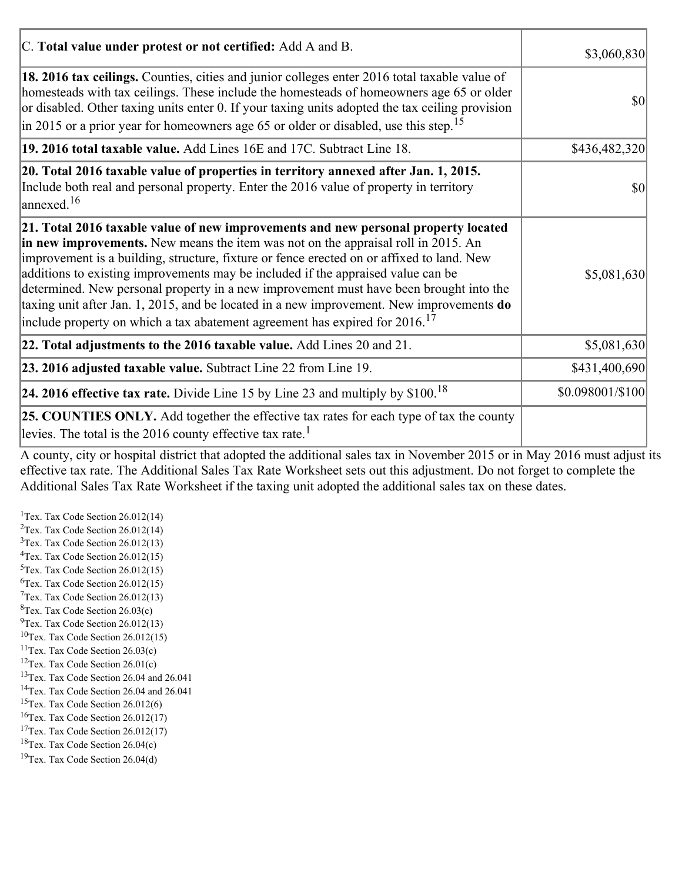| C. Total value under protest or not certified: Add A and B.                                                                                                                                                                                                                                                                                                                                                                                                                                                                                                                                                                                  | \$3,060,830      |
|----------------------------------------------------------------------------------------------------------------------------------------------------------------------------------------------------------------------------------------------------------------------------------------------------------------------------------------------------------------------------------------------------------------------------------------------------------------------------------------------------------------------------------------------------------------------------------------------------------------------------------------------|------------------|
| 18. 2016 tax ceilings. Counties, cities and junior colleges enter 2016 total taxable value of<br>homesteads with tax ceilings. These include the homesteads of homeowners age 65 or older<br>or disabled. Other taxing units enter 0. If your taxing units adopted the tax ceiling provision<br>in 2015 or a prior year for homeowners age 65 or older or disabled, use this step. <sup>15</sup>                                                                                                                                                                                                                                             | \$0              |
| 19. 2016 total taxable value. Add Lines 16E and 17C. Subtract Line 18.                                                                                                                                                                                                                                                                                                                                                                                                                                                                                                                                                                       | \$436,482,320    |
| 20. Total 2016 taxable value of properties in territory annexed after Jan. 1, 2015.<br>Include both real and personal property. Enter the 2016 value of property in territory<br>$\vert$ annexed. <sup>16</sup>                                                                                                                                                                                                                                                                                                                                                                                                                              | 10               |
| 21. Total 2016 taxable value of new improvements and new personal property located<br>in new improvements. New means the item was not on the appraisal roll in 2015. An<br>improvement is a building, structure, fixture or fence erected on or affixed to land. New<br>additions to existing improvements may be included if the appraised value can be<br>determined. New personal property in a new improvement must have been brought into the<br>taxing unit after Jan. 1, 2015, and be located in a new improvement. New improvements do<br>include property on which a tax abatement agreement has expired for $2016$ . <sup>17</sup> | \$5,081,630      |
| 22. Total adjustments to the 2016 taxable value. Add Lines 20 and 21.                                                                                                                                                                                                                                                                                                                                                                                                                                                                                                                                                                        | \$5,081,630      |
| 23. 2016 adjusted taxable value. Subtract Line 22 from Line 19.                                                                                                                                                                                                                                                                                                                                                                                                                                                                                                                                                                              | \$431,400,690    |
| 24. 2016 effective tax rate. Divide Line 15 by Line 23 and multiply by $$100$ . <sup>18</sup>                                                                                                                                                                                                                                                                                                                                                                                                                                                                                                                                                | \$0.098001/\$100 |
| <b>25. COUNTIES ONLY.</b> Add together the effective tax rates for each type of tax the county<br>levies. The total is the 2016 county effective tax rate. <sup>1</sup>                                                                                                                                                                                                                                                                                                                                                                                                                                                                      |                  |

A county, city or hospital district that adopted the additional sales tax in November 2015 or in May 2016 must adjust its effective tax rate. The Additional Sales Tax Rate Worksheet sets out this adjustment. Do not forget to complete the Additional Sales Tax Rate Worksheet if the taxing unit adopted the additional sales tax on these dates.

<sup>1</sup>Tex. Tax Code Section  $26.012(14)$ <sup>2</sup>Tex. Tax Code Section  $26.012(14)$  $3$ Tex. Tax Code Section 26.012(13)  ${}^{4}$ Tex. Tax Code Section 26.012(15)  $5$ Tex. Tax Code Section 26.012(15)  ${}^{6}$ Tex. Tax Code Section 26.012(15)  $7$ Tex. Tax Code Section 26.012(13)  ${}^{8}$ Tex. Tax Code Section 26.03(c)  $^{9}$ Tex. Tax Code Section 26.012(13)  $10$ Tex. Tax Code Section 26.012(15) <sup>11</sup>Tex. Tax Code Section  $26.03(c)$ <sup>12</sup>Tex. Tax Code Section  $26.01(c)$ <sup>13</sup>Tex. Tax Code Section 26.04 and 26.041 <sup>14</sup>Tex. Tax Code Section 26.04 and 26.041 <sup>15</sup>Tex. Tax Code Section  $26.012(6)$  $16$ Tex. Tax Code Section 26.012(17) <sup>17</sup>Tex. Tax Code Section  $26.012(17)$ <sup>18</sup>Tex. Tax Code Section 26.04(c) <sup>19</sup>Tex. Tax Code Section 26.04(d)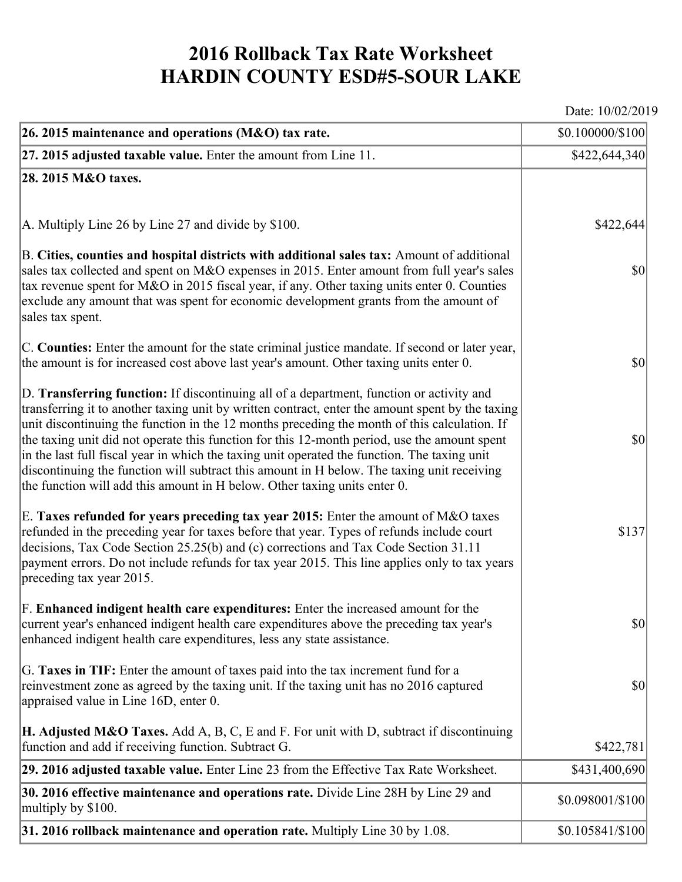## **2016 Rollback Tax Rate Worksheet HARDIN COUNTY ESD#5-SOUR LAKE**

Date: 10/02/2019

| 26. 2015 maintenance and operations (M&O) tax rate.                                                                                                                                                                                                                                                                                                                                                                                                                                                                                                                                                                                                                     | \$0.100000/\$100  |
|-------------------------------------------------------------------------------------------------------------------------------------------------------------------------------------------------------------------------------------------------------------------------------------------------------------------------------------------------------------------------------------------------------------------------------------------------------------------------------------------------------------------------------------------------------------------------------------------------------------------------------------------------------------------------|-------------------|
| $ 27.2015$ adjusted taxable value. Enter the amount from Line 11.                                                                                                                                                                                                                                                                                                                                                                                                                                                                                                                                                                                                       | \$422,644,340     |
| 28. 2015 M&O taxes.                                                                                                                                                                                                                                                                                                                                                                                                                                                                                                                                                                                                                                                     |                   |
|                                                                                                                                                                                                                                                                                                                                                                                                                                                                                                                                                                                                                                                                         |                   |
| A. Multiply Line 26 by Line 27 and divide by $$100$ .                                                                                                                                                                                                                                                                                                                                                                                                                                                                                                                                                                                                                   | \$422,644         |
| B. Cities, counties and hospital districts with additional sales tax: Amount of additional<br>sales tax collected and spent on M&O expenses in 2015. Enter amount from full year's sales<br>tax revenue spent for M&O in 2015 fiscal year, if any. Other taxing units enter 0. Counties<br>exclude any amount that was spent for economic development grants from the amount of<br>sales tax spent.                                                                                                                                                                                                                                                                     | $ 10\rangle$      |
| C. Counties: Enter the amount for the state criminal justice mandate. If second or later year,<br>the amount is for increased cost above last year's amount. Other taxing units enter 0.                                                                                                                                                                                                                                                                                                                                                                                                                                                                                | $ 10\rangle$      |
| D. Transferring function: If discontinuing all of a department, function or activity and<br>transferring it to another taxing unit by written contract, enter the amount spent by the taxing<br>unit discontinuing the function in the 12 months preceding the month of this calculation. If<br>the taxing unit did not operate this function for this 12-month period, use the amount spent<br>in the last full fiscal year in which the taxing unit operated the function. The taxing unit<br>discontinuing the function will subtract this amount in H below. The taxing unit receiving<br>the function will add this amount in H below. Other taxing units enter 0. | $ 10\rangle$      |
| E. Taxes refunded for years preceding tax year 2015: Enter the amount of M&O taxes<br>refunded in the preceding year for taxes before that year. Types of refunds include court<br>decisions, Tax Code Section 25.25(b) and (c) corrections and Tax Code Section 31.11<br>payment errors. Do not include refunds for tax year 2015. This line applies only to tax years<br>preceding tax year 2015.                                                                                                                                                                                                                                                                     | \$137             |
| F. Enhanced indigent health care expenditures: Enter the increased amount for the<br>current year's enhanced indigent health care expenditures above the preceding tax year's<br>enhanced indigent health care expenditures, less any state assistance.                                                                                                                                                                                                                                                                                                                                                                                                                 | \$0               |
| G. Taxes in TIF: Enter the amount of taxes paid into the tax increment fund for a<br>reinvestment zone as agreed by the taxing unit. If the taxing unit has no 2016 captured<br>appraised value in Line 16D, enter 0.                                                                                                                                                                                                                                                                                                                                                                                                                                                   | $ 10\rangle$      |
| <b>H. Adjusted M&amp;O Taxes.</b> Add A, B, C, E and F. For unit with D, subtract if discontinuing<br>function and add if receiving function. Subtract G.                                                                                                                                                                                                                                                                                                                                                                                                                                                                                                               | \$422,781         |
| 29. 2016 adjusted taxable value. Enter Line 23 from the Effective Tax Rate Worksheet.                                                                                                                                                                                                                                                                                                                                                                                                                                                                                                                                                                                   | \$431,400,690     |
| 30. 2016 effective maintenance and operations rate. Divide Line 28H by Line 29 and<br>multiply by \$100.                                                                                                                                                                                                                                                                                                                                                                                                                                                                                                                                                                | \$0.098001/\$100  |
| 31. 2016 rollback maintenance and operation rate. Multiply Line 30 by 1.08.                                                                                                                                                                                                                                                                                                                                                                                                                                                                                                                                                                                             | $$0.105841/\$100$ |